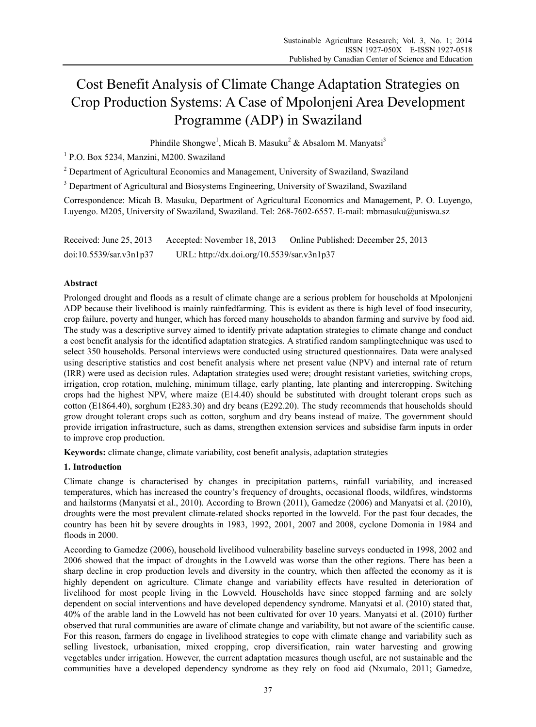# Cost Benefit Analysis of Climate Change Adaptation Strategies on Crop Production Systems: A Case of Mpolonjeni Area Development Programme (ADP) in Swaziland

Phindile Shongwe<sup>1</sup>, Micah B. Masuku<sup>2</sup> & Absalom M. Manyatsi<sup>3</sup>

1 P.O. Box 5234, Manzini, M200. Swaziland

<sup>2</sup> Department of Agricultural Economics and Management, University of Swaziland, Swaziland

<sup>3</sup> Department of Agricultural and Biosystems Engineering, University of Swaziland, Swaziland

Correspondence: Micah B. Masuku, Department of Agricultural Economics and Management, P. O. Luyengo, Luyengo. M205, University of Swaziland, Swaziland. Tel: 268-7602-6557. E-mail: mbmasuku@uniswa.sz

Received: June 25, 2013 Accepted: November 18, 2013 Online Published: December 25, 2013 doi:10.5539/sar.v3n1p37 URL: http://dx.doi.org/10.5539/sar.v3n1p37

# **Abstract**

Prolonged drought and floods as a result of climate change are a serious problem for households at Mpolonjeni ADP because their livelihood is mainly rainfedfarming. This is evident as there is high level of food insecurity, crop failure, poverty and hunger, which has forced many households to abandon farming and survive by food aid. The study was a descriptive survey aimed to identify private adaptation strategies to climate change and conduct a cost benefit analysis for the identified adaptation strategies. A stratified random samplingtechnique was used to select 350 households. Personal interviews were conducted using structured questionnaires. Data were analysed using descriptive statistics and cost benefit analysis where net present value (NPV) and internal rate of return (IRR) were used as decision rules. Adaptation strategies used were; drought resistant varieties, switching crops, irrigation, crop rotation, mulching, minimum tillage, early planting, late planting and intercropping. Switching crops had the highest NPV, where maize (E14.40) should be substituted with drought tolerant crops such as cotton (E1864.40), sorghum (E283.30) and dry beans (E292.20). The study recommends that households should grow drought tolerant crops such as cotton, sorghum and dry beans instead of maize. The government should provide irrigation infrastructure, such as dams, strengthen extension services and subsidise farm inputs in order to improve crop production.

**Keywords:** climate change, climate variability, cost benefit analysis, adaptation strategies

# **1. Introduction**

Climate change is characterised by changes in precipitation patterns, rainfall variability, and increased temperatures, which has increased the country's frequency of droughts, occasional floods, wildfires, windstorms and hailstorms (Manyatsi et al., 2010). According to Brown (2011), Gamedze (2006) and Manyatsi et al. (2010), droughts were the most prevalent climate-related shocks reported in the lowveld. For the past four decades, the country has been hit by severe droughts in 1983, 1992, 2001, 2007 and 2008, cyclone Domonia in 1984 and floods in 2000.

According to Gamedze (2006), household livelihood vulnerability baseline surveys conducted in 1998, 2002 and 2006 showed that the impact of droughts in the Lowveld was worse than the other regions. There has been a sharp decline in crop production levels and diversity in the country, which then affected the economy as it is highly dependent on agriculture. Climate change and variability effects have resulted in deterioration of livelihood for most people living in the Lowveld. Households have since stopped farming and are solely dependent on social interventions and have developed dependency syndrome. Manyatsi et al. (2010) stated that, 40% of the arable land in the Lowveld has not been cultivated for over 10 years. Manyatsi et al. (2010) further observed that rural communities are aware of climate change and variability, but not aware of the scientific cause. For this reason, farmers do engage in livelihood strategies to cope with climate change and variability such as selling livestock, urbanisation, mixed cropping, crop diversification, rain water harvesting and growing vegetables under irrigation. However, the current adaptation measures though useful, are not sustainable and the communities have a developed dependency syndrome as they rely on food aid (Nxumalo, 2011; Gamedze,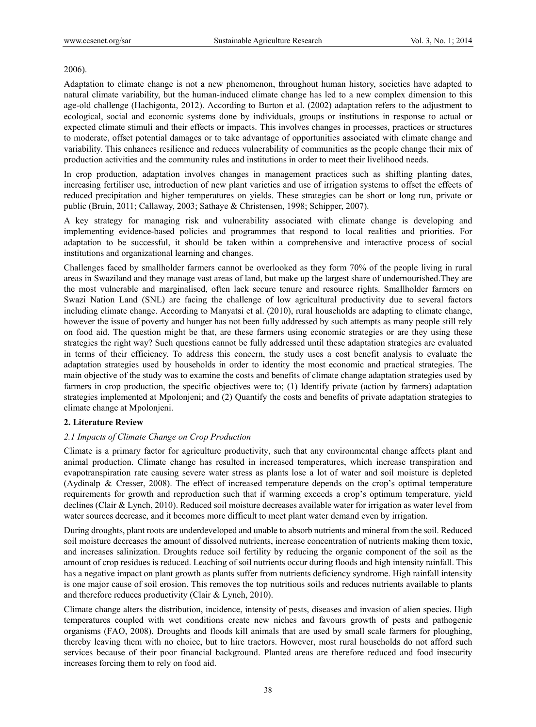#### 2006).

Adaptation to climate change is not a new phenomenon, throughout human history, societies have adapted to natural climate variability, but the human-induced climate change has led to a new complex dimension to this age-old challenge (Hachigonta, 2012). According to Burton et al. (2002) adaptation refers to the adjustment to ecological, social and economic systems done by individuals, groups or institutions in response to actual or expected climate stimuli and their effects or impacts. This involves changes in processes, practices or structures to moderate, offset potential damages or to take advantage of opportunities associated with climate change and variability. This enhances resilience and reduces vulnerability of communities as the people change their mix of production activities and the community rules and institutions in order to meet their livelihood needs.

In crop production, adaptation involves changes in management practices such as shifting planting dates, increasing fertiliser use, introduction of new plant varieties and use of irrigation systems to offset the effects of reduced precipitation and higher temperatures on yields. These strategies can be short or long run, private or public (Bruin, 2011; Callaway, 2003; Sathaye & Christensen, 1998; Schipper, 2007).

A key strategy for managing risk and vulnerability associated with climate change is developing and implementing evidence-based policies and programmes that respond to local realities and priorities. For adaptation to be successful, it should be taken within a comprehensive and interactive process of social institutions and organizational learning and changes.

Challenges faced by smallholder farmers cannot be overlooked as they form 70% of the people living in rural areas in Swaziland and they manage vast areas of land, but make up the largest share of undernourished.They are the most vulnerable and marginalised, often lack secure tenure and resource rights. Smallholder farmers on Swazi Nation Land (SNL) are facing the challenge of low agricultural productivity due to several factors including climate change. According to Manyatsi et al. (2010), rural households are adapting to climate change, however the issue of poverty and hunger has not been fully addressed by such attempts as many people still rely on food aid. The question might be that, are these farmers using economic strategies or are they using these strategies the right way? Such questions cannot be fully addressed until these adaptation strategies are evaluated in terms of their efficiency. To address this concern, the study uses a cost benefit analysis to evaluate the adaptation strategies used by households in order to identity the most economic and practical strategies. The main objective of the study was to examine the costs and benefits of climate change adaptation strategies used by farmers in crop production, the specific objectives were to; (1) Identify private (action by farmers) adaptation strategies implemented at Mpolonjeni; and (2) Quantify the costs and benefits of private adaptation strategies to climate change at Mpolonjeni.

# **2. Literature Review**

## *2.1 Impacts of Climate Change on Crop Production*

Climate is a primary factor for agriculture productivity, such that any environmental change affects plant and animal production. Climate change has resulted in increased temperatures, which increase transpiration and evapotranspiration rate causing severe water stress as plants lose a lot of water and soil moisture is depleted (Aydinalp & Cresser, 2008). The effect of increased temperature depends on the crop's optimal temperature requirements for growth and reproduction such that if warming exceeds a crop's optimum temperature, yield declines (Clair & Lynch, 2010). Reduced soil moisture decreases available water for irrigation as water level from water sources decrease, and it becomes more difficult to meet plant water demand even by irrigation.

During droughts, plant roots are underdeveloped and unable to absorb nutrients and mineral from the soil. Reduced soil moisture decreases the amount of dissolved nutrients, increase concentration of nutrients making them toxic, and increases salinization. Droughts reduce soil fertility by reducing the organic component of the soil as the amount of crop residues is reduced. Leaching of soil nutrients occur during floods and high intensity rainfall. This has a negative impact on plant growth as plants suffer from nutrients deficiency syndrome. High rainfall intensity is one major cause of soil erosion. This removes the top nutritious soils and reduces nutrients available to plants and therefore reduces productivity (Clair & Lynch, 2010).

Climate change alters the distribution, incidence, intensity of pests, diseases and invasion of alien species. High temperatures coupled with wet conditions create new niches and favours growth of pests and pathogenic organisms (FAO, 2008). Droughts and floods kill animals that are used by small scale farmers for ploughing, thereby leaving them with no choice, but to hire tractors. However, most rural households do not afford such services because of their poor financial background. Planted areas are therefore reduced and food insecurity increases forcing them to rely on food aid.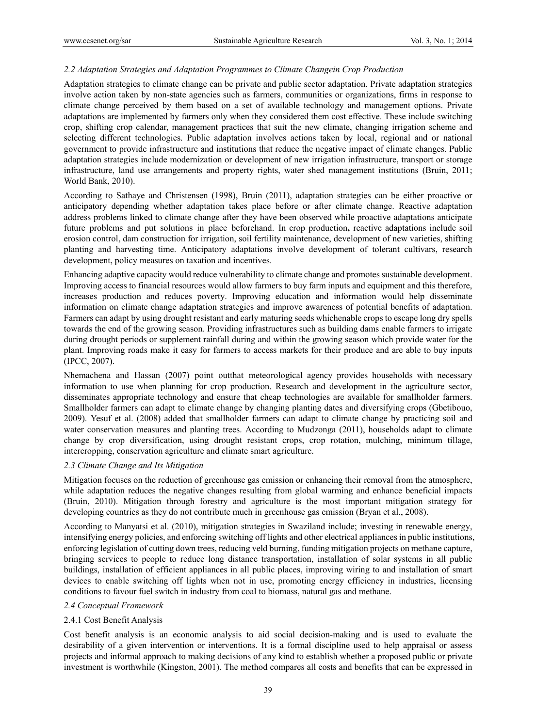### *2.2 Adaptation Strategies and Adaptation Programmes to Climate Changein Crop Production*

Adaptation strategies to climate change can be private and public sector adaptation. Private adaptation strategies involve action taken by non-state agencies such as farmers, communities or organizations, firms in response to climate change perceived by them based on a set of available technology and management options. Private adaptations are implemented by farmers only when they considered them cost effective. These include switching crop, shifting crop calendar, management practices that suit the new climate, changing irrigation scheme and selecting different technologies. Public adaptation involves actions taken by local, regional and or national government to provide infrastructure and institutions that reduce the negative impact of climate changes. Public adaptation strategies include modernization or development of new irrigation infrastructure, transport or storage infrastructure, land use arrangements and property rights, water shed management institutions (Bruin, 2011; World Bank, 2010).

According to Sathaye and Christensen (1998), Bruin (2011), adaptation strategies can be either proactive or anticipatory depending whether adaptation takes place before or after climate change. Reactive adaptation address problems linked to climate change after they have been observed while proactive adaptations anticipate future problems and put solutions in place beforehand. In crop production**,** reactive adaptations include soil erosion control, dam construction for irrigation, soil fertility maintenance, development of new varieties, shifting planting and harvesting time. Anticipatory adaptations involve development of tolerant cultivars, research development, policy measures on taxation and incentives.

Enhancing adaptive capacity would reduce vulnerability to climate change and promotes sustainable development. Improving access to financial resources would allow farmers to buy farm inputs and equipment and this therefore, increases production and reduces poverty. Improving education and information would help disseminate information on climate change adaptation strategies and improve awareness of potential benefits of adaptation. Farmers can adapt by using drought resistant and early maturing seeds whichenable crops to escape long dry spells towards the end of the growing season. Providing infrastructures such as building dams enable farmers to irrigate during drought periods or supplement rainfall during and within the growing season which provide water for the plant. Improving roads make it easy for farmers to access markets for their produce and are able to buy inputs (IPCC, 2007).

Nhemachena and Hassan (2007) point outthat meteorological agency provides households with necessary information to use when planning for crop production. Research and development in the agriculture sector, disseminates appropriate technology and ensure that cheap technologies are available for smallholder farmers. Smallholder farmers can adapt to climate change by changing planting dates and diversifying crops (Gbetibouo, 2009). Yesuf et al. (2008) added that smallholder farmers can adapt to climate change by practicing soil and water conservation measures and planting trees. According to Mudzonga (2011), households adapt to climate change by crop diversification, using drought resistant crops, crop rotation, mulching, minimum tillage, intercropping, conservation agriculture and climate smart agriculture.

#### *2.3 Climate Change and Its Mitigation*

Mitigation focuses on the reduction of greenhouse gas emission or enhancing their removal from the atmosphere, while adaptation reduces the negative changes resulting from global warming and enhance beneficial impacts (Bruin, 2010). Mitigation through forestry and agriculture is the most important mitigation strategy for developing countries as they do not contribute much in greenhouse gas emission (Bryan et al., 2008).

According to Manyatsi et al. (2010), mitigation strategies in Swaziland include; investing in renewable energy, intensifying energy policies, and enforcing switching off lights and other electrical appliances in public institutions, enforcing legislation of cutting down trees, reducing veld burning, funding mitigation projects on methane capture, bringing services to people to reduce long distance transportation, installation of solar systems in all public buildings, installation of efficient appliances in all public places, improving wiring to and installation of smart devices to enable switching off lights when not in use, promoting energy efficiency in industries, licensing conditions to favour fuel switch in industry from coal to biomass, natural gas and methane.

## *2.4 Conceptual Framework*

## 2.4.1 Cost Benefit Analysis

Cost benefit analysis is an economic analysis to aid social decision-making and is used to evaluate the desirability of a given intervention or interventions. It is a formal discipline used to help appraisal or assess projects and informal approach to making decisions of any kind to establish whether a proposed public or private investment is worthwhile (Kingston, 2001). The method compares all costs and benefits that can be expressed in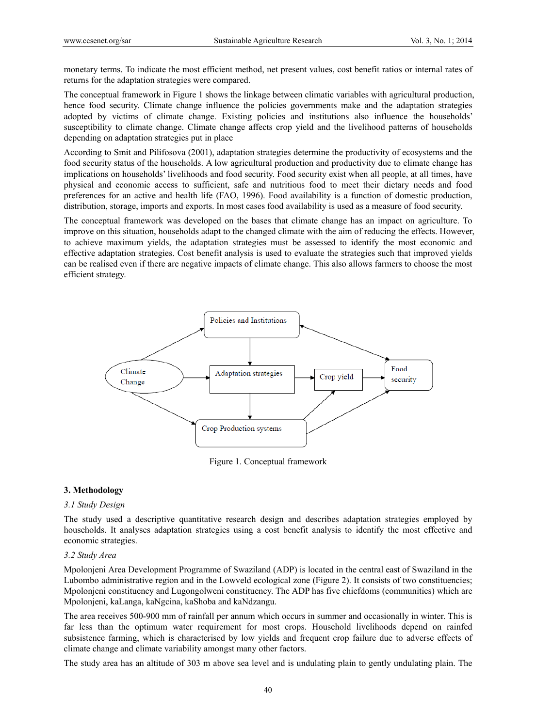monetary terms. To indicate the most efficient method, net present values, cost benefit ratios or internal rates of returns for the adaptation strategies were compared.

The conceptual framework in Figure 1 shows the linkage between climatic variables with agricultural production, hence food security. Climate change influence the policies governments make and the adaptation strategies adopted by victims of climate change. Existing policies and institutions also influence the households' susceptibility to climate change. Climate change affects crop yield and the livelihood patterns of households depending on adaptation strategies put in place

According to Smit and Pilifosova (2001), adaptation strategies determine the productivity of ecosystems and the food security status of the households. A low agricultural production and productivity due to climate change has implications on households' livelihoods and food security. Food security exist when all people, at all times, have physical and economic access to sufficient, safe and nutritious food to meet their dietary needs and food preferences for an active and health life (FAO, 1996). Food availability is a function of domestic production, distribution, storage, imports and exports. In most cases food availability is used as a measure of food security.

The conceptual framework was developed on the bases that climate change has an impact on agriculture. To improve on this situation, households adapt to the changed climate with the aim of reducing the effects. However, to achieve maximum yields, the adaptation strategies must be assessed to identify the most economic and effective adaptation strategies. Cost benefit analysis is used to evaluate the strategies such that improved yields can be realised even if there are negative impacts of climate change. This also allows farmers to choose the most efficient strategy.



Figure 1. Conceptual framework

#### **3. Methodology**

# *3.1 Study Design*

The study used a descriptive quantitative research design and describes adaptation strategies employed by households. It analyses adaptation strategies using a cost benefit analysis to identify the most effective and economic strategies.

#### *3.2 Study Area*

Mpolonjeni Area Development Programme of Swaziland (ADP) is located in the central east of Swaziland in the Lubombo administrative region and in the Lowveld ecological zone (Figure 2). It consists of two constituencies; Mpolonjeni constituency and Lugongolweni constituency. The ADP has five chiefdoms (communities) which are Mpolonjeni, kaLanga, kaNgcina, kaShoba and kaNdzangu.

The area receives 500-900 mm of rainfall per annum which occurs in summer and occasionally in winter. This is far less than the optimum water requirement for most crops. Household livelihoods depend on rainfed subsistence farming, which is characterised by low yields and frequent crop failure due to adverse effects of climate change and climate variability amongst many other factors.

The study area has an altitude of 303 m above sea level and is undulating plain to gently undulating plain. The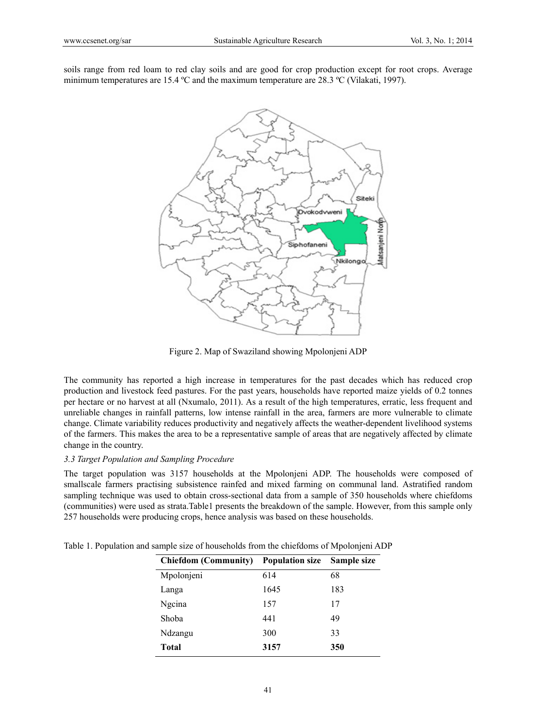soils range from red loam to red clay soils and are good for crop production except for root crops. Average minimum temperatures are 15.4 ºC and the maximum temperature are 28.3 ºC (Vilakati, 1997).



Figure 2. Map of Swaziland showing Mpolonjeni ADP

The community has reported a high increase in temperatures for the past decades which has reduced crop production and livestock feed pastures. For the past years, households have reported maize yields of 0.2 tonnes per hectare or no harvest at all (Nxumalo, 2011). As a result of the high temperatures, erratic, less frequent and unreliable changes in rainfall patterns, low intense rainfall in the area, farmers are more vulnerable to climate change. Climate variability reduces productivity and negatively affects the weather-dependent livelihood systems of the farmers. This makes the area to be a representative sample of areas that are negatively affected by climate change in the country.

# *3.3 Target Population and Sampling Procedure*

The target population was 3157 households at the Mpolonjeni ADP. The households were composed of smallscale farmers practising subsistence rainfed and mixed farming on communal land. Astratified random sampling technique was used to obtain cross-sectional data from a sample of 350 households where chiefdoms (communities) were used as strata.Table1 presents the breakdown of the sample. However, from this sample only 257 households were producing crops, hence analysis was based on these households.

| <b>Chiefdom (Community)</b> | <b>Population size</b> | Sample size |
|-----------------------------|------------------------|-------------|
| Mpolonjeni                  | 614                    | 68          |
| Langa                       | 1645                   | 183         |
| Ngcina                      | 157                    | 17          |
| Shoba                       | 441                    | 49          |
| Ndzangu                     | 300                    | 33          |
| Total                       | 3157                   | 350         |

Table 1. Population and sample size of households from the chiefdoms of Mpolonjeni ADP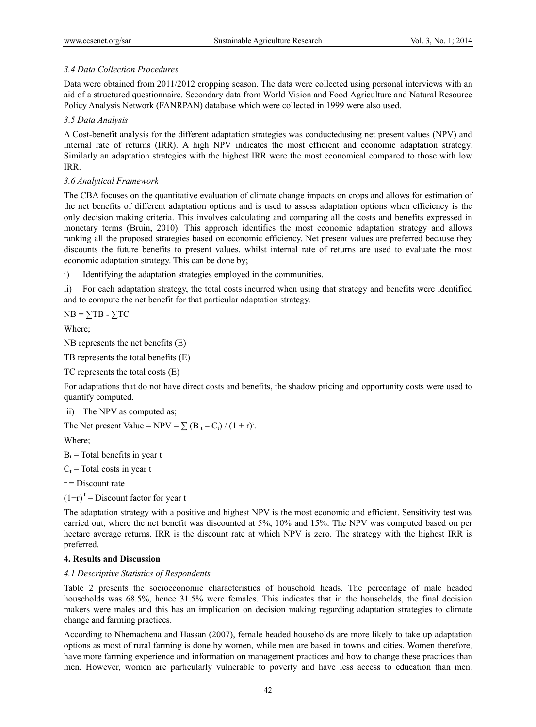# *3.4 Data Collection Procedures*

Data were obtained from 2011/2012 cropping season. The data were collected using personal interviews with an aid of a structured questionnaire. Secondary data from World Vision and Food Agriculture and Natural Resource Policy Analysis Network (FANRPAN) database which were collected in 1999 were also used.

## *3.5 Data Analysis*

A Cost-benefit analysis for the different adaptation strategies was conductedusing net present values (NPV) and internal rate of returns (IRR). A high NPV indicates the most efficient and economic adaptation strategy. Similarly an adaptation strategies with the highest IRR were the most economical compared to those with low IRR.

## *3.6 Analytical Framework*

The CBA focuses on the quantitative evaluation of climate change impacts on crops and allows for estimation of the net benefits of different adaptation options and is used to assess adaptation options when efficiency is the only decision making criteria. This involves calculating and comparing all the costs and benefits expressed in monetary terms (Bruin, 2010). This approach identifies the most economic adaptation strategy and allows ranking all the proposed strategies based on economic efficiency. Net present values are preferred because they discounts the future benefits to present values, whilst internal rate of returns are used to evaluate the most economic adaptation strategy. This can be done by;

i) Identifying the adaptation strategies employed in the communities.

ii) For each adaptation strategy, the total costs incurred when using that strategy and benefits were identified and to compute the net benefit for that particular adaptation strategy.

 $NB = \sum TB - \sum TC$ 

Where;

NB represents the net benefits (E)

TB represents the total benefits (E)

TC represents the total costs (E)

For adaptations that do not have direct costs and benefits, the shadow pricing and opportunity costs were used to quantify computed.

iii) The NPV as computed as;

The Net present Value = NPV =  $\sum$  (B<sub>t</sub> – C<sub>t</sub>) / (1 + r)<sup>t</sup>.

Where;

 $B_t$  = Total benefits in year t

 $C_t$  = Total costs in year t

 $r =$ Discount rate

 $(1+r)^t$  = Discount factor for year t

The adaptation strategy with a positive and highest NPV is the most economic and efficient. Sensitivity test was carried out, where the net benefit was discounted at 5%, 10% and 15%. The NPV was computed based on per hectare average returns. IRR is the discount rate at which NPV is zero. The strategy with the highest IRR is preferred.

## **4. Results and Discussion**

## *4.1 Descriptive Statistics of Respondents*

Table 2 presents the socioeconomic characteristics of household heads. The percentage of male headed households was 68.5%, hence 31.5% were females. This indicates that in the households, the final decision makers were males and this has an implication on decision making regarding adaptation strategies to climate change and farming practices.

According to Nhemachena and Hassan (2007), female headed households are more likely to take up adaptation options as most of rural farming is done by women, while men are based in towns and cities. Women therefore, have more farming experience and information on management practices and how to change these practices than men. However, women are particularly vulnerable to poverty and have less access to education than men.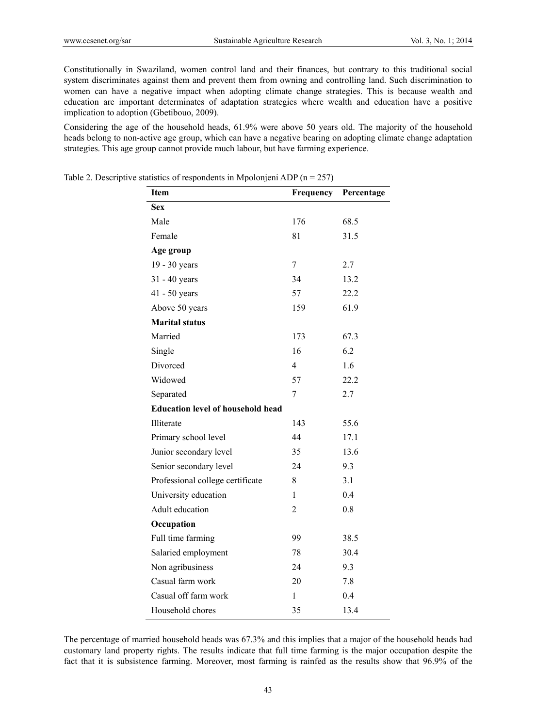Constitutionally in Swaziland, women control land and their finances, but contrary to this traditional social system discriminates against them and prevent them from owning and controlling land. Such discrimination to women can have a negative impact when adopting climate change strategies. This is because wealth and education are important determinates of adaptation strategies where wealth and education have a positive implication to adoption (Gbetibouo, 2009).

Considering the age of the household heads, 61.9% were above 50 years old. The majority of the household heads belong to non-active age group, which can have a negative bearing on adopting climate change adaptation strategies. This age group cannot provide much labour, but have farming experience.

| <b>Item</b>                              | Frequency    | Percentage |
|------------------------------------------|--------------|------------|
| <b>Sex</b>                               |              |            |
| Male                                     | 176          | 68.5       |
| Female                                   | 81           | 31.5       |
| Age group                                |              |            |
| 19 - 30 years                            | 7            | 2.7        |
| 31 - 40 years                            | 34           | 13.2       |
| $41 - 50$ years                          | 57           | 22.2       |
| Above 50 years                           | 159          | 61.9       |
| <b>Marital status</b>                    |              |            |
| Married                                  | 173          | 67.3       |
| Single                                   | 16           | 6.2        |
| Divorced                                 | 4            | 1.6        |
| Widowed                                  | 57           | 22.2       |
| Separated                                | 7            | 2.7        |
| <b>Education level of household head</b> |              |            |
| Illiterate                               | 143          | 55.6       |
| Primary school level                     | 44           | 17.1       |
| Junior secondary level                   | 35           | 13.6       |
| Senior secondary level                   | 24           | 9.3        |
| Professional college certificate         | 8            | 3.1        |
| University education                     | $\mathbf{1}$ | 0.4        |
| Adult education                          | 2            | 0.8        |
| Occupation                               |              |            |
| Full time farming                        | 99           | 38.5       |
| Salaried employment                      | 78           | 30.4       |
| Non agribusiness                         | 24           | 9.3        |
| Casual farm work                         | 20           | 7.8        |
| Casual off farm work                     | 1            | 0.4        |
| Household chores                         | 35           | 13.4       |

Table 2. Descriptive statistics of respondents in Mpolonjeni ADP ( $n = 257$ )

The percentage of married household heads was 67.3% and this implies that a major of the household heads had customary land property rights. The results indicate that full time farming is the major occupation despite the fact that it is subsistence farming. Moreover, most farming is rainfed as the results show that 96.9% of the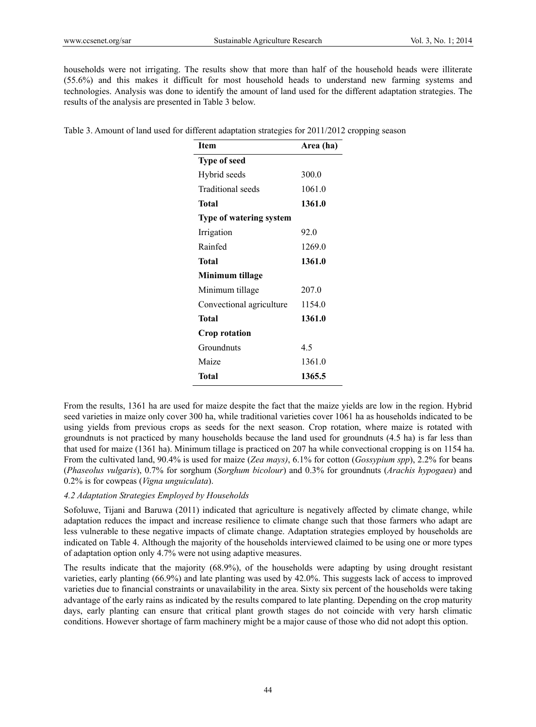households were not irrigating. The results show that more than half of the household heads were illiterate (55.6%) and this makes it difficult for most household heads to understand new farming systems and technologies. Analysis was done to identify the amount of land used for the different adaptation strategies. The results of the analysis are presented in Table 3 below.

|  |  |  |  |  | Table 3. Amount of land used for different adaptation strategies for 2011/2012 cropping season |  |  |  |
|--|--|--|--|--|------------------------------------------------------------------------------------------------|--|--|--|
|  |  |  |  |  |                                                                                                |  |  |  |

| <b>Item</b>                    | Area (ha) |
|--------------------------------|-----------|
| <b>Type of seed</b>            |           |
| Hybrid seeds                   | 300.0     |
| Traditional seeds              | 1061.0    |
| Total                          | 1361.0    |
| <b>Type of watering system</b> |           |
| Irrigation                     | 92.0      |
| Rainfed                        | 1269.0    |
| Total                          | 1361.0    |
| Minimum tillage                |           |
| Minimum tillage                | 207.0     |
| Convectional agriculture       | 1154.0    |
| Total                          | 1361.0    |
| Crop rotation                  |           |
| Groundnuts                     | 4.5       |
| Maize                          | 1361.0    |
| Total                          | 1365.5    |

From the results, 1361 ha are used for maize despite the fact that the maize yields are low in the region. Hybrid seed varieties in maize only cover 300 ha, while traditional varieties cover 1061 ha as households indicated to be using yields from previous crops as seeds for the next season. Crop rotation, where maize is rotated with groundnuts is not practiced by many households because the land used for groundnuts (4.5 ha) is far less than that used for maize (1361 ha). Minimum tillage is practiced on 207 ha while convectional cropping is on 1154 ha. From the cultivated land, 90.4% is used for maize (*Zea mays)*, 6.1% for cotton (*Gossypium spp*), 2.2% for beans (*Phaseolus vulgaris*), 0.7% for sorghum (*Sorghum bicolour*) and 0.3% for groundnuts (*Arachis hypogaea*) and 0.2% is for cowpeas (*Vigna unguiculata*).

#### *4.2 Adaptation Strategies Employed by Households*

Sofoluwe, Tijani and Baruwa (2011) indicated that agriculture is negatively affected by climate change, while adaptation reduces the impact and increase resilience to climate change such that those farmers who adapt are less vulnerable to these negative impacts of climate change. Adaptation strategies employed by households are indicated on Table 4. Although the majority of the households interviewed claimed to be using one or more types of adaptation option only 4.7% were not using adaptive measures.

The results indicate that the majority (68.9%), of the households were adapting by using drought resistant varieties, early planting (66.9%) and late planting was used by 42.0%. This suggests lack of access to improved varieties due to financial constraints or unavailability in the area. Sixty six percent of the households were taking advantage of the early rains as indicated by the results compared to late planting. Depending on the crop maturity days, early planting can ensure that critical plant growth stages do not coincide with very harsh climatic conditions. However shortage of farm machinery might be a major cause of those who did not adopt this option.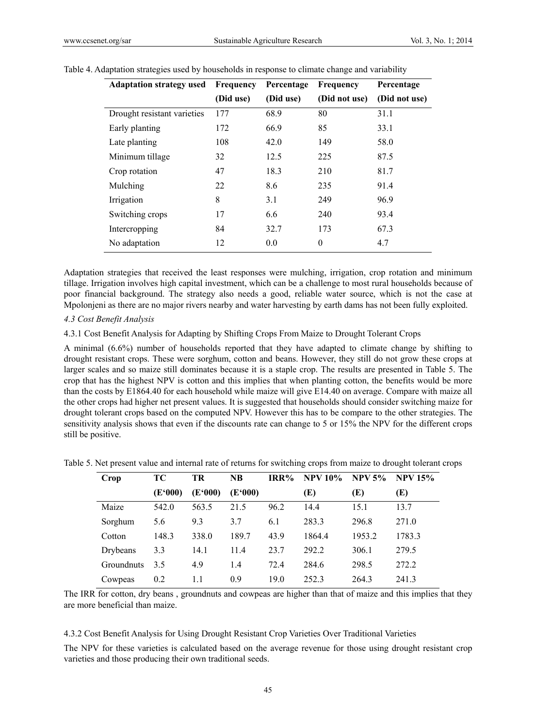| <b>Adaptation strategy used</b> | <b>Frequency</b> | Percentage | Frequency     | Percentage    |
|---------------------------------|------------------|------------|---------------|---------------|
|                                 | (Did use)        | (Did use)  | (Did not use) | (Did not use) |
| Drought resistant varieties     | 177              | 68.9       | 80            | 31.1          |
| Early planting                  | 172              | 66.9       | 85            | 33.1          |
| Late planting                   | 108              | 42.0       | 149           | 58.0          |
| Minimum tillage                 | 32               | 12.5       | 225           | 87.5          |
| Crop rotation                   | 47               | 18.3       | 210           | 81.7          |
| Mulching                        | 22               | 8.6        | 235           | 91.4          |
| Irrigation                      | 8                | 3.1        | 249           | 96.9          |
| Switching crops                 | 17               | 6.6        | 240           | 93.4          |
| Intercropping                   | 84               | 32.7       | 173           | 67.3          |
| No adaptation                   | 12               | 0.0        | $\theta$      | 4.7           |

#### Table 4. Adaptation strategies used by households in response to climate change and variability

Adaptation strategies that received the least responses were mulching, irrigation, crop rotation and minimum tillage. Irrigation involves high capital investment, which can be a challenge to most rural households because of poor financial background. The strategy also needs a good, reliable water source, which is not the case at Mpolonjeni as there are no major rivers nearby and water harvesting by earth dams has not been fully exploited.

## *4.3 Cost Benefit Analysis*

4.3.1 Cost Benefit Analysis for Adapting by Shifting Crops From Maize to Drought Tolerant Crops

A minimal (6.6%) number of households reported that they have adapted to climate change by shifting to drought resistant crops. These were sorghum, cotton and beans. However, they still do not grow these crops at larger scales and so maize still dominates because it is a staple crop. The results are presented in Table 5. The crop that has the highest NPV is cotton and this implies that when planting cotton, the benefits would be more than the costs by E1864.40 for each household while maize will give E14.40 on average. Compare with maize all the other crops had higher net present values. It is suggested that households should consider switching maize for drought tolerant crops based on the computed NPV. However this has to be compare to the other strategies. The sensitivity analysis shows that even if the discounts rate can change to 5 or 15% the NPV for the different crops still be positive.

| Crop       | TС      | TR      | <b>NB</b> | IRR% | <b>NPV 10%</b> | <b>NPV 5%</b> | <b>NPV 15%</b> |
|------------|---------|---------|-----------|------|----------------|---------------|----------------|
|            | (E'000) | (E'000) | (E'000)   |      | (E)            | (E)           | (E)            |
| Maize      | 542.0   | 563.5   | 21.5      | 96.2 | 14.4           | 15.1          | 13.7           |
| Sorghum    | 5.6     | 9.3     | 3.7       | 6.1  | 283.3          | 296.8         | 271.0          |
| Cotton     | 148.3   | 338.0   | 189.7     | 43.9 | 1864.4         | 1953.2        | 1783.3         |
| Drybeans   | 3.3     | 14.1    | 11.4      | 23.7 | 292.2          | 306.1         | 279.5          |
| Groundnuts | 3.5     | 4.9     | 1.4       | 72.4 | 284.6          | 298.5         | 272.2          |
| Cowpeas    | 0.2     | 1.1     | 0.9       | 19.0 | 2523           | 264.3         | 241.3          |

Table 5. Net present value and internal rate of returns for switching crops from maize to drought tolerant crops

The IRR for cotton, dry beans , groundnuts and cowpeas are higher than that of maize and this implies that they are more beneficial than maize.

4.3.2 Cost Benefit Analysis for Using Drought Resistant Crop Varieties Over Traditional Varieties

The NPV for these varieties is calculated based on the average revenue for those using drought resistant crop varieties and those producing their own traditional seeds.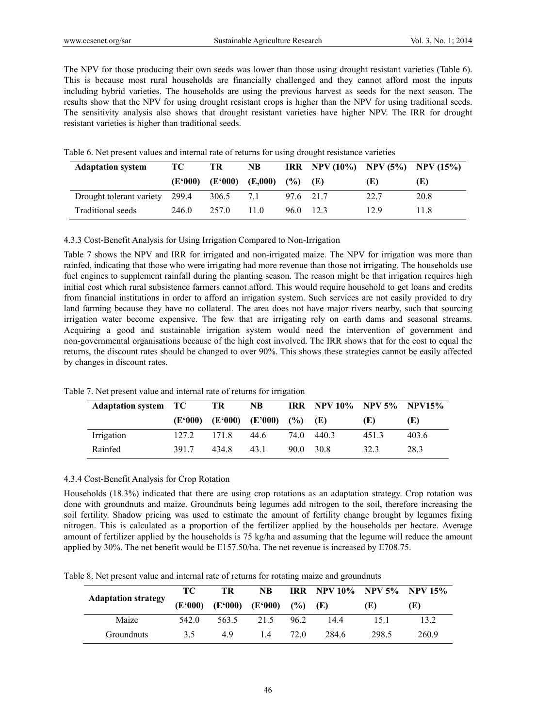The NPV for those producing their own seeds was lower than those using drought resistant varieties (Table 6). This is because most rural households are financially challenged and they cannot afford most the inputs including hybrid varieties. The households are using the previous harvest as seeds for the next season. The results show that the NPV for using drought resistant crops is higher than the NPV for using traditional seeds. The sensitivity analysis also shows that drought resistant varieties have higher NPV. The IRR for drought resistant varieties is higher than traditional seeds.

| <b>Adaptation system</b>       | TC      | TR                  | <b>NB</b> |           | IRR NPV (10%) NPV (5%) NPV (15%) |      |      |
|--------------------------------|---------|---------------------|-----------|-----------|----------------------------------|------|------|
|                                | (E'000) | $(E'000)$ $(E,000)$ |           | $($ %)    | Œ                                | (E)  | (E)  |
| Drought tolerant variety 299.4 |         | 306.5               | 71        | 97.6 21.7 |                                  | 22.7 | 20.8 |
| Traditional seeds              | 246 0   | 257.0               | 11 0      | 96.0 12.3 |                                  | 12.9 | 11 8 |

Table 6. Net present values and internal rate of returns for using drought resistance varieties

4.3.3 Cost-Benefit Analysis for Using Irrigation Compared to Non-Irrigation

Table 7 shows the NPV and IRR for irrigated and non-irrigated maize. The NPV for irrigation was more than rainfed, indicating that those who were irrigating had more revenue than those not irrigating. The households use fuel engines to supplement rainfall during the planting season. The reason might be that irrigation requires high initial cost which rural subsistence farmers cannot afford. This would require household to get loans and credits from financial institutions in order to afford an irrigation system. Such services are not easily provided to dry land farming because they have no collateral. The area does not have major rivers nearby, such that sourcing irrigation water become expensive. The few that are irrigating rely on earth dams and seasonal streams. Acquiring a good and sustainable irrigation system would need the intervention of government and non-governmental organisations because of the high cost involved. The IRR shows that for the cost to equal the returns, the discount rates should be changed to over 90%. This shows these strategies cannot be easily affected by changes in discount rates.

| <b>Adaptation system TC</b> |         | TR    | NB.                      |      | IRR NPV 10% NPV 5% NPV15% |      |       |
|-----------------------------|---------|-------|--------------------------|------|---------------------------|------|-------|
|                             | (E'000) |       | $(E'000)$ $(E'000)$ $(%$ |      | (E)                       | Œ)   | (E)   |
| Irrigation                  | 127.2   | 1718  | 44.6                     |      | 74.0 440.3                | 4513 | 403.6 |
| Rainfed                     | 3917    | 434.8 | 43.1                     | 90 O | 30.8                      | 323  | 28.3  |

Table 7. Net present value and internal rate of returns for irrigation

## 4.3.4 Cost-Benefit Analysis for Crop Rotation

Households (18.3%) indicated that there are using crop rotations as an adaptation strategy. Crop rotation was done with groundnuts and maize. Groundnuts being legumes add nitrogen to the soil, therefore increasing the soil fertility. Shadow pricing was used to estimate the amount of fertility change brought by legumes fixing nitrogen. This is calculated as a proportion of the fertilizer applied by the households per hectare. Average amount of fertilizer applied by the households is 75 kg/ha and assuming that the legume will reduce the amount applied by 30%. The net benefit would be E157.50/ha. The net revenue is increased by E708.75.

Table 8. Net present value and internal rate of returns for rotating maize and groundnuts

| <b>Adaptation strategy</b> | TC.     | TR    | NB.                              |      | <b>IRR</b> NPV 10% NPV 5% NPV 15% |       |       |
|----------------------------|---------|-------|----------------------------------|------|-----------------------------------|-------|-------|
|                            | (E'000) |       | $(E'000)$ $(E'000)$ $(\%)$ $(E)$ |      |                                   | (E)   | (E)   |
| Maize                      | 542.0   | 563.5 | 21.5                             | 96.2 | 144                               | 151   | 13.2  |
| Groundnuts                 | 35      | 49    | 14                               | 72 O | 284.6                             | 298.5 | 260.9 |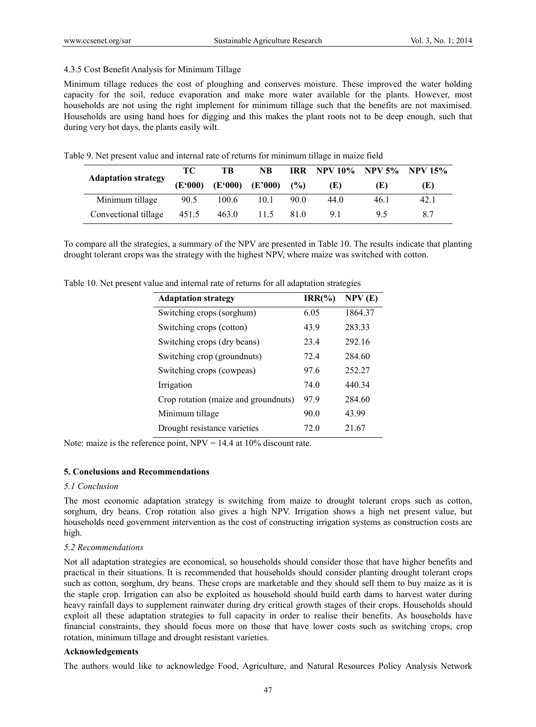## 4.3.5 Cost Benefit Analysis for Minimum Tillage

Minimum tillage reduces the cost of ploughing and conserves moisture. These improved the water holding capacity for the soil, reduce evaporation and make more water available for the plants. However, most households are not using the right implement for minimum tillage such that the benefits are not maximised. Households are using hand hoes for digging and this makes the plant roots not to be deep enough, such that during very hot days, the plants easily wilt.

Table 9. Net present value and internal rate of returns for minimum tillage in maize field

|                            | TС      | TВ    | NB                       |      | IRR NPV 10% NPV 5% NPV 15% |      |      |
|----------------------------|---------|-------|--------------------------|------|----------------------------|------|------|
| <b>Adaptation strategy</b> | (E'000) |       | $(E'000)$ $(E'000)$ $(%$ |      | (E)                        | Œ)   | (E)  |
| Minimum tillage            | 90.5    | 100.6 | 10.1                     | 90.0 | 44.0                       | 46.1 | 42.1 |
| Convectional tillage       | 451.5   | 463.0 | 11.5                     | 81.0 | 91                         | 95   | 8.7  |

To compare all the strategies, a summary of the NPV are presented in Table 10. The results indicate that planting drought tolerant crops was the strategy with the highest NPV, where maize was switched with cotton.

Table 10. Net present value and internal rate of returns for all adaptation strategies

| <b>Adaptation strategy</b>           | $IRR(\% )$ | NPV(E)  |
|--------------------------------------|------------|---------|
| Switching crops (sorghum)            | 6.05       | 1864.37 |
| Switching crops (cotton)             | 43.9       | 283.33  |
| Switching crops (dry beans)          | 23.4       | 292.16  |
| Switching crop (groundnuts)          | 72.4       | 284.60  |
| Switching crops (cowpeas)            | 97.6       | 252.27  |
| Irrigation                           | 74.0       | 440.34  |
| Crop rotation (maize and groundnuts) | 97.9       | 284.60  |
| Minimum tillage                      | 90.0       | 43.99   |
| Drought resistance varieties         | 72.0       | 21.67   |

Note: maize is the reference point,  $NPV = 14.4$  at 10% discount rate.

## **5. Conclusions and Recommendations**

## *5.1 Conclusion*

The most economic adaptation strategy is switching from maize to drought tolerant crops such as cotton, sorghum, dry beans. Crop rotation also gives a high NPV. Irrigation shows a high net present value, but households need government intervention as the cost of constructing irrigation systems as construction costs are high.

## *5.2 Recommendations*

Not all adaptation strategies are economical, so households should consider those that have higher benefits and practical in their situations. It is recommended that households should consider planting drought tolerant crops such as cotton, sorghum, dry beans. These crops are marketable and they should sell them to buy maize as it is the staple crop. Irrigation can also be exploited as household should build earth dams to harvest water during heavy rainfall days to supplement rainwater during dry critical growth stages of their crops. Households should exploit all these adaptation strategies to full capacity in order to realise their benefits. As households have financial constraints, they should focus more on those that have lower costs such as switching crops, crop rotation, minimum tillage and drought resistant varieties.

## **Acknowledgements**

The authors would like to acknowledge Food, Agriculture, and Natural Resources Policy Analysis Network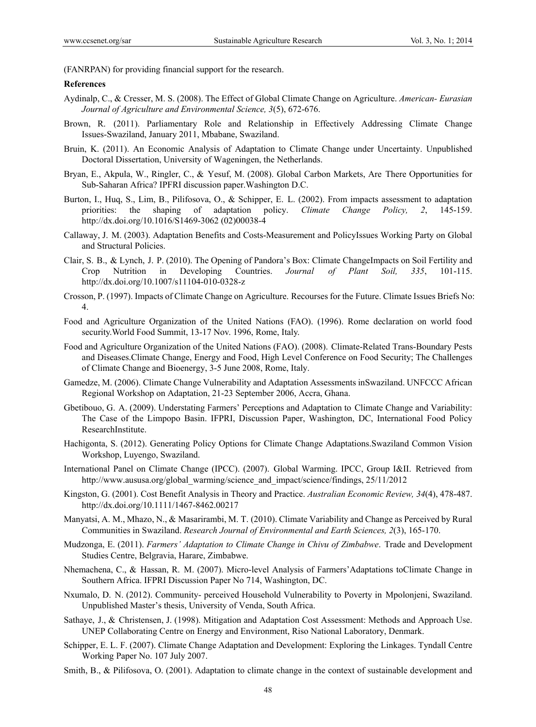(FANRPAN) for providing financial support for the research.

### **References**

- Aydinalp, C., & Cresser, M. S. (2008). The Effect of Global Climate Change on Agriculture. *American- Eurasian Journal of Agriculture and Environmental Science, 3*(5), 672-676.
- Brown, R. (2011). Parliamentary Role and Relationship in Effectively Addressing Climate Change Issues-Swaziland, January 2011, Mbabane, Swaziland.
- Bruin, K. (2011). An Economic Analysis of Adaptation to Climate Change under Uncertainty. Unpublished Doctoral Dissertation, University of Wageningen, the Netherlands.
- Bryan, E., Akpula, W., Ringler, C., & Yesuf, M. (2008). Global Carbon Markets, Are There Opportunities for Sub-Saharan Africa? IPFRI discussion paper.Washington D.C.
- Burton, I., Huq, S., Lim, B., Pilifosova, O., & Schipper, E. L. (2002). From impacts assessment to adaptation priorities: the shaping of adaptation policy. *Climate Change Policy, 2*, 145-159. http://dx.doi.org/10.1016/S1469-3062 (02)00038-4
- Callaway, J. M. (2003). Adaptation Benefits and Costs-Measurement and PolicyIssues Working Party on Global and Structural Policies.
- Clair, S. B., & Lynch, J. P. (2010). The Opening of Pandora's Box: Climate ChangeImpacts on Soil Fertility and Crop Nutrition in Developing Countries. *Journal of Plant Soil, 335*, 101-115. http://dx.doi.org/10.1007/s11104-010-0328-z
- Crosson, P. (1997). Impacts of Climate Change on Agriculture. Recourses for the Future. Climate Issues Briefs No: 4.
- Food and Agriculture Organization of the United Nations (FAO). (1996). Rome declaration on world food security.World Food Summit, 13-17 Nov. 1996, Rome, Italy.
- Food and Agriculture Organization of the United Nations (FAO). (2008). Climate-Related Trans-Boundary Pests and Diseases.Climate Change, Energy and Food, High Level Conference on Food Security; The Challenges of Climate Change and Bioenergy, 3-5 June 2008, Rome, Italy.
- Gamedze, M. (2006). Climate Change Vulnerability and Adaptation Assessments inSwaziland. UNFCCC African Regional Workshop on Adaptation, 21-23 September 2006, Accra, Ghana.
- Gbetibouo, G. A. (2009). Understating Farmers' Perceptions and Adaptation to Climate Change and Variability: The Case of the Limpopo Basin. IFPRI, Discussion Paper, Washington, DC, International Food Policy ResearchInstitute.
- Hachigonta, S. (2012). Generating Policy Options for Climate Change Adaptations.Swaziland Common Vision Workshop, Luyengo, Swaziland.
- International Panel on Climate Change (IPCC). (2007). Global Warming. IPCC, Group I&II. Retrieved from http://www.aususa.org/global\_warming/science\_and\_impact/science/findings, 25/11/2012
- Kingston, G. (2001). Cost Benefit Analysis in Theory and Practice. *Australian Economic Review, 34*(4), 478-487. http://dx.doi.org/10.1111/1467-8462.00217
- Manyatsi, A. M., Mhazo, N., & Masarirambi, M. T. (2010). Climate Variability and Change as Perceived by Rural Communities in Swaziland. *Research Journal of Environmental and Earth Sciences, 2*(3), 165-170.
- Mudzonga, E. (2011). *Farmers' Adaptation to Climate Change in Chivu of Zimbabwe*. Trade and Development Studies Centre, Belgravia, Harare, Zimbabwe.
- Nhemachena, C., & Hassan, R. M. (2007). Micro-level Analysis of Farmers'Adaptations toClimate Change in Southern Africa. IFPRI Discussion Paper No 714, Washington, DC.
- Nxumalo, D. N. (2012). Community- perceived Household Vulnerability to Poverty in Mpolonjeni, Swaziland. Unpublished Master's thesis, University of Venda, South Africa.
- Sathaye, J., & Christensen, J. (1998). Mitigation and Adaptation Cost Assessment: Methods and Approach Use. UNEP Collaborating Centre on Energy and Environment, Riso National Laboratory, Denmark.
- Schipper, E. L. F. (2007). Climate Change Adaptation and Development: Exploring the Linkages. Tyndall Centre Working Paper No. 107 July 2007.
- Smith, B., & Pilifosova, O. (2001). Adaptation to climate change in the context of sustainable development and